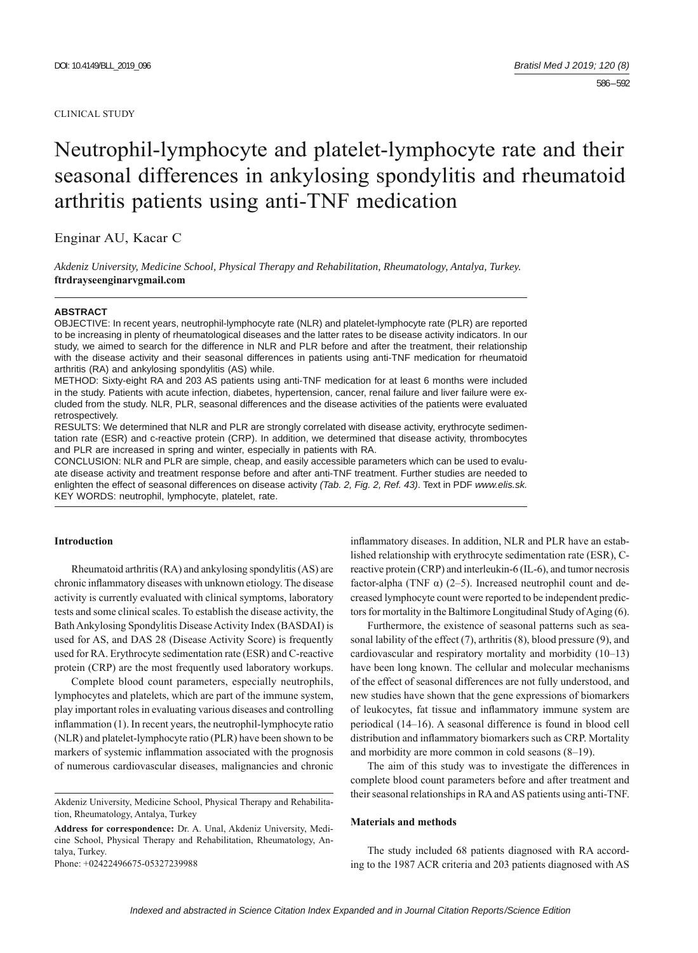#### CLINICAL STUDY

# Neutrophil-lymphocyte and platelet-lymphocyte rate and their seasonal differences in ankylosing spondylitis and rheumatoid arthritis patients using anti-TNF medication

Enginar AU, Kacar C

*Akdeniz University, Medicine School, Physical Therapy and Rehabilitation, Rheumatology, Antalya, Turkey.*  **ftrdrayseenginarvgmail.com**

#### **ABSTRACT**

OBJECTIVE: In recent years, neutrophil-lymphocyte rate (NLR) and platelet-lymphocyte rate (PLR) are reported to be increasing in plenty of rheumatological diseases and the latter rates to be disease activity indicators. In our study, we aimed to search for the difference in NLR and PLR before and after the treatment, their relationship with the disease activity and their seasonal differences in patients using anti-TNF medication for rheumatoid arthritis (RA) and ankylosing spondylitis (AS) while.

METHOD: Sixty-eight RA and 203 AS patients using anti-TNF medication for at least 6 months were included in the study. Patients with acute infection, diabetes, hypertension, cancer, renal failure and liver failure were excluded from the study. NLR, PLR, seasonal differences and the disease activities of the patients were evaluated retrospectively.

RESULTS: We determined that NLR and PLR are strongly correlated with disease activity, erythrocyte sedimentation rate (ESR) and c-reactive protein (CRP). In addition, we determined that disease activity, thrombocytes and PLR are increased in spring and winter, especially in patients with RA.

CONCLUSION: NLR and PLR are simple, cheap, and easily accessible parameters which can be used to evaluate disease activity and treatment response before and after anti-TNF treatment. Further studies are needed to enlighten the effect of seasonal differences on disease activity *(Tab. 2, Fig. 2, Ref. 43)*. Text in PDF *www.elis.sk.* KEY WORDS: neutrophil, lymphocyte, platelet, rate.

## **Introduction**

Rheumatoid arthritis (RA) and ankylosing spondylitis (AS) are chronic inflammatory diseases with unknown etiology. The disease activity is currently evaluated with clinical symptoms, laboratory tests and some clinical scales. To establish the disease activity, the Bath Ankylosing Spondylitis Disease Activity Index (BASDAI) is used for AS, and DAS 28 (Disease Activity Score) is frequently used for RA. Erythrocyte sedimentation rate (ESR) and C-reactive protein (CRP) are the most frequently used laboratory workups.

Complete blood count parameters, especially neutrophils, lymphocytes and platelets, which are part of the immune system, play important roles in evaluating various diseases and controlling inflammation  $(1)$ . In recent years, the neutrophil-lymphocyte ratio (NLR) and platelet-lymphocyte ratio (PLR) have been shown to be markers of systemic inflammation associated with the prognosis of numerous cardiovascular diseases, malignancies and chronic

**Address for correspondence:** Dr. A. Unal, Akdeniz University, Medicine School, Physical Therapy and Rehabilitation, Rheumatology, Antalya, Turkey.

Phone: +02422496675-05327239988

inflammatory diseases. In addition, NLR and PLR have an established relationship with erythrocyte sedimentation rate (ESR), Creactive protein (CRP) and interleukin-6 (IL-6), and tumor necrosis factor-alpha (TNF  $\alpha$ ) (2–5). Increased neutrophil count and decreased lymphocyte count were reported to be independent predictors for mortality in the Baltimore Longitudinal Study of Aging (6).

Furthermore, the existence of seasonal patterns such as seasonal lability of the effect (7), arthritis (8), blood pressure (9), and cardiovascular and respiratory mortality and morbidity (10–13) have been long known. The cellular and molecular mechanisms of the effect of seasonal differences are not fully understood, and new studies have shown that the gene expressions of biomarkers of leukocytes, fat tissue and inflammatory immune system are periodical (14–16). A seasonal difference is found in blood cell distribution and inflammatory biomarkers such as CRP. Mortality and morbidity are more common in cold seasons (8–19).

The aim of this study was to investigate the differences in complete blood count parameters before and after treatment and their seasonal relationships in RA and AS patients using anti-TNF.

## **Materials and methods**

The study included 68 patients diagnosed with RA according to the 1987 ACR criteria and 203 patients diagnosed with AS

Akdeniz University, Medicine School, Physical Therapy and Rehabilitation, Rheumatology, Antalya, Turkey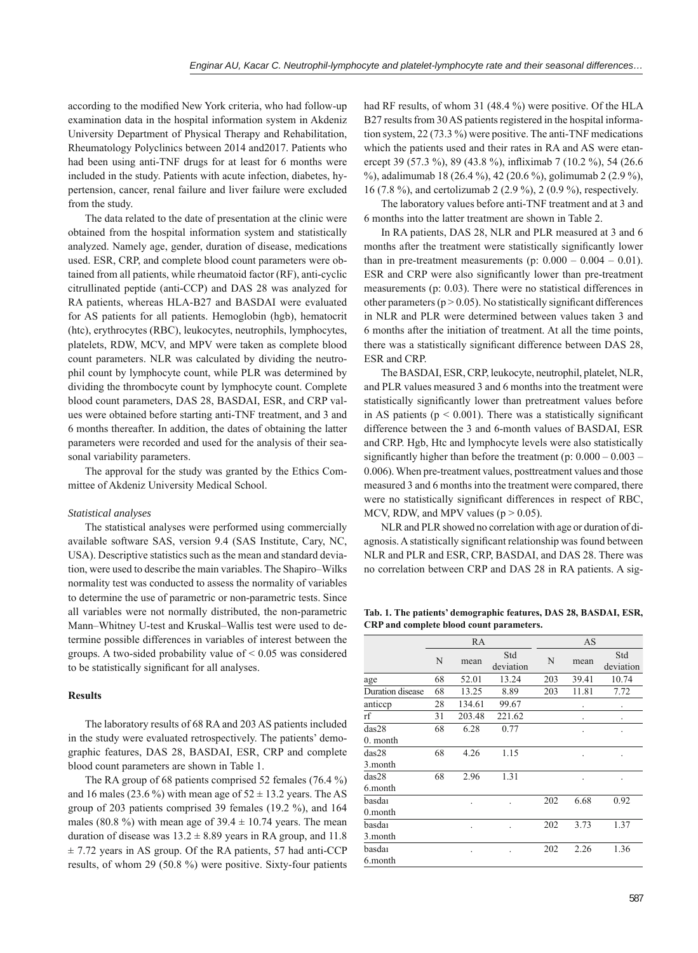according to the modified New York criteria, who had follow-up examination data in the hospital information system in Akdeniz University Department of Physical Therapy and Rehabilitation, Rheumatology Polyclinics between 2014 and2017. Patients who had been using anti-TNF drugs for at least for 6 months were included in the study. Patients with acute infection, diabetes, hypertension, cancer, renal failure and liver failure were excluded from the study.

The data related to the date of presentation at the clinic were obtained from the hospital information system and statistically analyzed. Namely age, gender, duration of disease, medications used. ESR, CRP, and complete blood count parameters were obtained from all patients, while rheumatoid factor (RF), anti-cyclic citrullinated peptide (anti-CCP) and DAS 28 was analyzed for RA patients, whereas HLA-B27 and BASDAI were evaluated for AS patients for all patients. Hemoglobin (hgb), hematocrit (htc), erythrocytes (RBC), leukocytes, neutrophils, lymphocytes, platelets, RDW, MCV, and MPV were taken as complete blood count parameters. NLR was calculated by dividing the neutrophil count by lymphocyte count, while PLR was determined by dividing the thrombocyte count by lymphocyte count. Complete blood count parameters, DAS 28, BASDAI, ESR, and CRP values were obtained before starting anti-TNF treatment, and 3 and 6 months thereafter. In addition, the dates of obtaining the latter parameters were recorded and used for the analysis of their seasonal variability parameters.

The approval for the study was granted by the Ethics Committee of Akdeniz University Medical School.

#### *Statistical analyses*

The statistical analyses were performed using commercially available software SAS, version 9.4 (SAS Institute, Cary, NC, USA). Descriptive statistics such as the mean and standard deviation, were used to describe the main variables. The Shapiro–Wilks normality test was conducted to assess the normality of variables to determine the use of parametric or non-parametric tests. Since all variables were not normally distributed, the non-parametric Mann–Whitney U-test and Kruskal–Wallis test were used to determine possible differences in variables of interest between the groups. A two-sided probability value of  $\leq 0.05$  was considered to be statistically significant for all analyses.

## **Results**

The laboratory results of 68 RA and 203 AS patients included in the study were evaluated retrospectively. The patients' demographic features, DAS 28, BASDAI, ESR, CRP and complete blood count parameters are shown in Table 1.

The RA group of 68 patients comprised 52 females (76.4 %) and 16 males (23.6 %) with mean age of  $52 \pm 13.2$  years. The AS group of 203 patients comprised 39 females (19.2 %), and 164 males (80.8 %) with mean age of  $39.4 \pm 10.74$  years. The mean duration of disease was  $13.2 \pm 8.89$  years in RA group, and 11.8  $\pm$  7.72 years in AS group. Of the RA patients, 57 had anti-CCP results, of whom 29 (50.8 %) were positive. Sixty-four patients

had RF results, of whom 31 (48.4 %) were positive. Of the HLA B27 results from 30 AS patients registered in the hospital information system, 22 (73.3 %) were positive. The anti-TNF medications which the patients used and their rates in RA and AS were etanercept 39 (57.3 %), 89 (43.8 %), infliximab 7 (10.2 %), 54 (26.6) %), adalimumab 18 (26.4 %), 42 (20.6 %), golimumab 2 (2.9 %), 16 (7.8 %), and certolizumab 2 (2.9 %), 2 (0.9 %), respectively.

The laboratory values before anti-TNF treatment and at 3 and 6 months into the latter treatment are shown in Table 2.

In RA patients, DAS 28, NLR and PLR measured at 3 and 6 months after the treatment were statistically significantly lower than in pre-treatment measurements (p:  $0.000 - 0.004 - 0.01$ ). ESR and CRP were also significantly lower than pre-treatment measurements (p: 0.03). There were no statistical differences in other parameters ( $p > 0.05$ ). No statistically significant differences in NLR and PLR were determined between values taken 3 and 6 months after the initiation of treatment. At all the time points, there was a statistically significant difference between DAS 28, ESR and CRP.

The BASDAI, ESR, CRP, leukocyte, neutrophil, platelet, NLR, and PLR values measured 3 and 6 months into the treatment were statistically significantly lower than pretreatment values before in AS patients ( $p < 0.001$ ). There was a statistically significant difference between the 3 and 6-month values of BASDAI, ESR and CRP. Hgb, Htc and lymphocyte levels were also statistically significantly higher than before the treatment (p:  $0.000 - 0.003$  – 0.006). When pre-treatment values, posttreatment values and those measured 3 and 6 months into the treatment were compared, there were no statistically significant differences in respect of RBC, MCV, RDW, and MPV values ( $p > 0.05$ ).

NLR and PLR showed no correlation with age or duration of diagnosis. A statistically significant relationship was found between NLR and PLR and ESR, CRP, BASDAI, and DAS 28. There was no correlation between CRP and DAS 28 in RA patients. A sig-

**Tab. 1. The patients' demographic features, DAS 28, BASDAI, ESR, CRP and complete blood count parameters.**

|                  |    | <b>RA</b> |                  | AS  |           |                  |  |  |
|------------------|----|-----------|------------------|-----|-----------|------------------|--|--|
|                  | N  | mean      | Std<br>deviation | N   | mean      | Std<br>deviation |  |  |
| age              | 68 | 52.01     | 13.24            | 203 | 39.41     | 10.74            |  |  |
| Duration disease | 68 | 13.25     | 8.89             | 203 | 11.81     | 7.72             |  |  |
| anticcp          | 28 | 134.61    | 99.67            |     |           |                  |  |  |
| rf               | 31 | 203.48    | 221.62           |     |           |                  |  |  |
| das28            | 68 | 6.28      | 0.77             |     |           |                  |  |  |
| $0.$ month       |    |           |                  |     |           |                  |  |  |
| das28            | 68 | 4.26      | 1.15             |     |           |                  |  |  |
| 3.month          |    |           |                  |     |           |                  |  |  |
| das28            | 68 | 2.96      | 1.31             |     | $\ddot{}$ | $\bullet$        |  |  |
| 6.month          |    |           |                  |     |           |                  |  |  |
| basdai           |    |           |                  | 202 | 6.68      | 0.92             |  |  |
| $0$ .month       |    |           |                  |     |           |                  |  |  |
| basdai           |    |           |                  | 202 | 3.73      | 1.37             |  |  |
| 3.month          |    |           |                  |     |           |                  |  |  |
| basdai           |    |           |                  | 202 | 2.26      | 1.36             |  |  |
| 6.month          |    |           |                  |     |           |                  |  |  |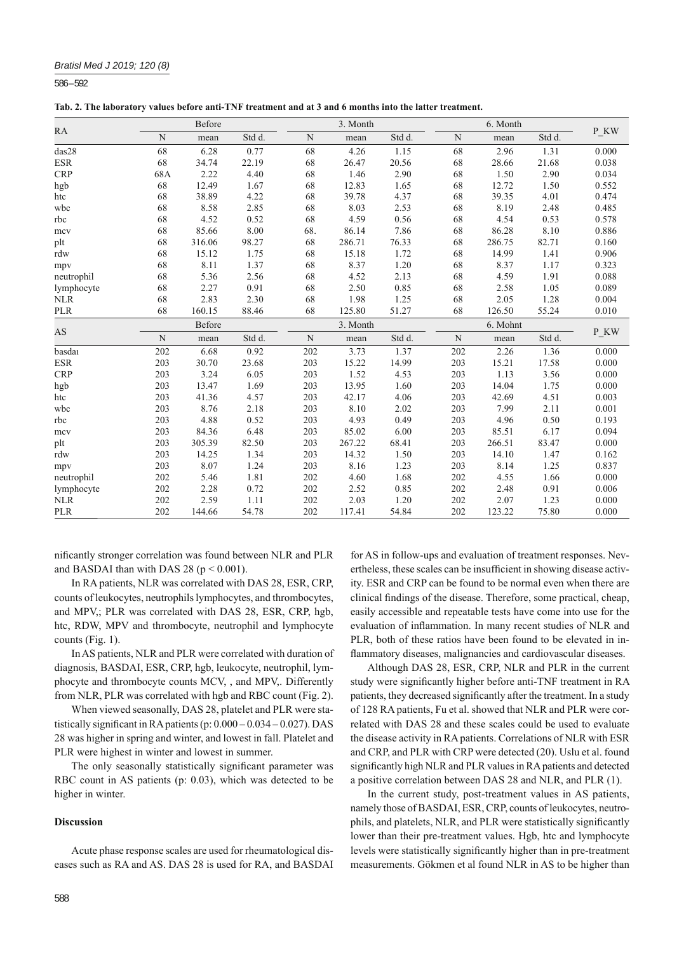586 – 592

**Tab. 2. The laboratory values before anti-TNF treatment and at 3 and 6 months into the latter treatment.**

| RA         |             | Before |        |             | 3. Month |        |             | 6. Month |        |       |
|------------|-------------|--------|--------|-------------|----------|--------|-------------|----------|--------|-------|
|            | $\mathbf N$ | mean   | Std d. | N           | mean     | Std d. | $\mathbf N$ | mean     | Std d. | P_KW  |
| das28      | 68          | 6.28   | 0.77   | 68          | 4.26     | 1.15   | 68          | 2.96     | 1.31   | 0.000 |
| <b>ESR</b> | 68          | 34.74  | 22.19  | 68          | 26.47    | 20.56  | 68          | 28.66    | 21.68  | 0.038 |
| <b>CRP</b> | 68A         | 2.22   | 4.40   | 68          | 1.46     | 2.90   | 68          | 1.50     | 2.90   | 0.034 |
| hgb        | 68          | 12.49  | 1.67   | 68          | 12.83    | 1.65   | 68          | 12.72    | 1.50   | 0.552 |
| htc        | 68          | 38.89  | 4.22   | 68          | 39.78    | 4.37   | 68          | 39.35    | 4.01   | 0.474 |
| wbc        | 68          | 8.58   | 2.85   | 68          | 8.03     | 2.53   | 68          | 8.19     | 2.48   | 0.485 |
| rbc        | 68          | 4.52   | 0.52   | 68          | 4.59     | 0.56   | 68          | 4.54     | 0.53   | 0.578 |
| mcv        | 68          | 85.66  | 8.00   | 68.         | 86.14    | 7.86   | 68          | 86.28    | 8.10   | 0.886 |
| plt        | 68          | 316.06 | 98.27  | 68          | 286.71   | 76.33  | 68          | 286.75   | 82.71  | 0.160 |
| rdw        | 68          | 15.12  | 1.75   | 68          | 15.18    | 1.72   | 68          | 14.99    | 1.41   | 0.906 |
| mpv        | 68          | 8.11   | 1.37   | 68          | 8.37     | 1.20   | 68          | 8.37     | 1.17   | 0.323 |
| neutrophil | 68          | 5.36   | 2.56   | 68          | 4.52     | 2.13   | 68          | 4.59     | 1.91   | 0.088 |
| lymphocyte | 68          | 2.27   | 0.91   | 68          | 2.50     | 0.85   | 68          | 2.58     | 1.05   | 0.089 |
| <b>NLR</b> | 68          | 2.83   | 2.30   | 68          | 1.98     | 1.25   | 68          | 2.05     | 1.28   | 0.004 |
| <b>PLR</b> | 68          | 160.15 | 88.46  | 68          | 125.80   | 51.27  | 68          | 126.50   | 55.24  | 0.010 |
| AS         | Before      |        |        |             | 3. Month |        |             | 6. Mohnt |        |       |
|            | $\mathbf N$ | mean   | Std d. | $\mathbf N$ | mean     | Std d. | N           | mean     | Std d. | P_KW  |
| basdai     | 202         | 6.68   | 0.92   | 202         | 3.73     | 1.37   | 202         | 2.26     | 1.36   | 0.000 |
| <b>ESR</b> | 203         | 30.70  | 23.68  | 203         | 15.22    | 14.99  | 203         | 15.21    | 17.58  | 0.000 |
| <b>CRP</b> | 203         | 3.24   | 6.05   | 203         | 1.52     | 4.53   | 203         | 1.13     | 3.56   | 0.000 |
| hgb        | 203         | 13.47  | 1.69   | 203         | 13.95    | 1.60   | 203         | 14.04    | 1.75   | 0.000 |
| htc        | 203         | 41.36  | 4.57   | 203         | 42.17    | 4.06   | 203         | 42.69    | 4.51   | 0.003 |
| wbc        | 203         | 8.76   | 2.18   | 203         | 8.10     | 2.02   | 203         | 7.99     | 2.11   | 0.001 |
| rbc        | 203         | 4.88   | 0.52   | 203         | 4.93     | 0.49   | 203         | 4.96     | 0.50   | 0.193 |
| mcv        | 203         | 84.36  | 6.48   | 203         | 85.02    | 6.00   | 203         | 85.51    | 6.17   | 0.094 |
| plt        | 203         | 305.39 | 82.50  | 203         | 267.22   | 68.41  | 203         | 266.51   | 83.47  | 0.000 |
| rdw        | 203         | 14.25  | 1.34   | 203         | 14.32    | 1.50   | 203         | 14.10    | 1.47   | 0.162 |
| mpv        | 203         | 8.07   | 1.24   | 203         | 8.16     | 1.23   | 203         | 8.14     | 1.25   | 0.837 |
| neutrophil | 202         | 5.46   | 1.81   | 202         | 4.60     | 1.68   | 202         | 4.55     | 1.66   | 0.000 |
| lymphocyte | 202         | 2.28   | 0.72   | 202         | 2.52     | 0.85   | 202         | 2.48     | 0.91   | 0.006 |
| <b>NLR</b> | 202         | 2.59   | 1.11   | 202         | 2.03     | 1.20   | 202         | 2.07     | 1.23   | 0.000 |
| <b>PLR</b> | 202         | 144.66 | 54.78  | 202         | 117.41   | 54.84  | 202         | 123.22   | 75.80  | 0.000 |

nificantly stronger correlation was found between NLR and PLR and BASDAI than with DAS 28 ( $p \le 0.001$ ).

In RA patients, NLR was correlated with DAS 28, ESR, CRP, counts of leukocytes, neutrophils lymphocytes, and thrombocytes, and MPV,; PLR was correlated with DAS 28, ESR, CRP, hgb, htc, RDW, MPV and thrombocyte, neutrophil and lymphocyte counts (Fig. 1).

In AS patients, NLR and PLR were correlated with duration of diagnosis, BASDAI, ESR, CRP, hgb, leukocyte, neutrophil, lymphocyte and thrombocyte counts MCV, , and MPV,. Differently from NLR, PLR was correlated with hgb and RBC count (Fig. 2).

When viewed seasonally, DAS 28, platelet and PLR were statistically significant in RA patients (p:  $0.000 - 0.034 - 0.027$ ). DAS 28 was higher in spring and winter, and lowest in fall. Platelet and PLR were highest in winter and lowest in summer.

The only seasonally statistically significant parameter was RBC count in AS patients (p: 0.03), which was detected to be higher in winter.

## **Discussion**

Acute phase response scales are used for rheumatological diseases such as RA and AS. DAS 28 is used for RA, and BASDAI

for AS in follow-ups and evaluation of treatment responses. Nevertheless, these scales can be insufficient in showing disease activity. ESR and CRP can be found to be normal even when there are clinical findings of the disease. Therefore, some practical, cheap, easily accessible and repeatable tests have come into use for the evaluation of inflammation. In many recent studies of NLR and PLR, both of these ratios have been found to be elevated in inflammatory diseases, malignancies and cardiovascular diseases.

Although DAS 28, ESR, CRP, NLR and PLR in the current study were significantly higher before anti-TNF treatment in RA patients, they decreased significantly after the treatment. In a study of 128 RA patients, Fu et al. showed that NLR and PLR were correlated with DAS 28 and these scales could be used to evaluate the disease activity in RA patients. Correlations of NLR with ESR and CRP, and PLR with CRP were detected (20). Uslu et al. found significantly high NLR and PLR values in RA patients and detected a positive correlation between DAS 28 and NLR, and PLR (1).

In the current study, post-treatment values in AS patients, namely those of BASDAI, ESR, CRP, counts of leukocytes, neutrophils, and platelets, NLR, and PLR were statistically significantly lower than their pre-treatment values. Hgb, htc and lymphocyte levels were statistically significantly higher than in pre-treatment measurements. Gökmen et al found NLR in AS to be higher than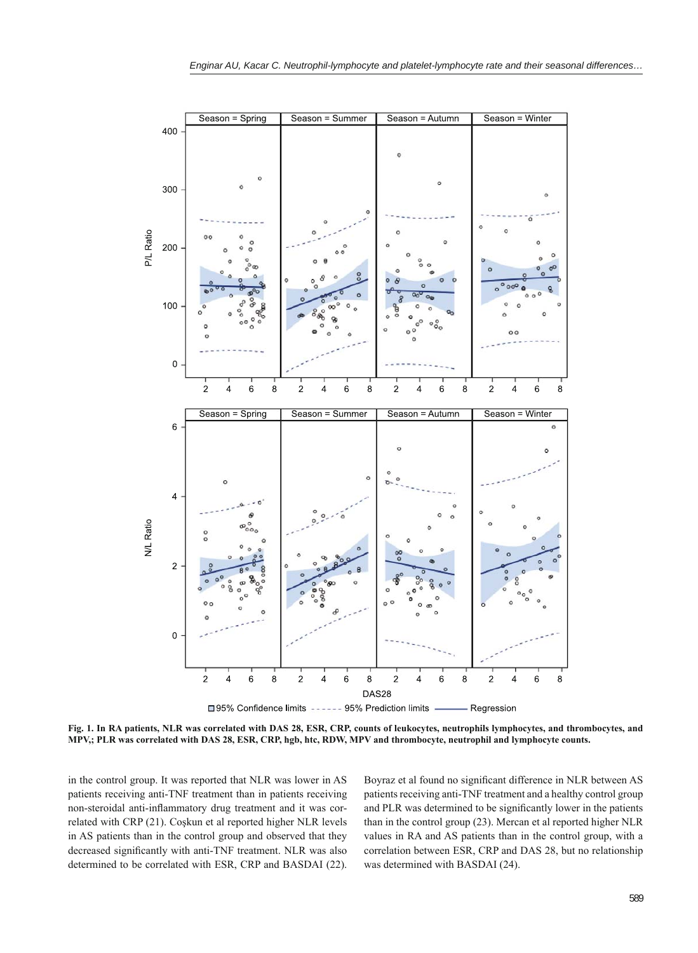

**Fig. 1. In RA patients, NLR was correlated with DAS 28, ESR, CRP, counts of leukocytes, neutrophils lymphocytes, and thrombocytes, and MPV,; PLR was correlated with DAS 28, ESR, CRP, hgb, htc, RDW, MPV and thrombocyte, neutrophil and lymphocyte counts.**

in the control group. It was reported that NLR was lower in AS patients receiving anti-TNF treatment than in patients receiving non-steroidal anti-inflammatory drug treatment and it was correlated with CRP (21). Coşkun et al reported higher NLR levels in AS patients than in the control group and observed that they decreased significantly with anti-TNF treatment. NLR was also determined to be correlated with ESR, CRP and BASDAI (22).

Boyraz et al found no significant difference in NLR between AS patients receiving anti-TNF treatment and a healthy control group and PLR was determined to be significantly lower in the patients than in the control group (23). Mercan et al reported higher NLR values in RA and AS patients than in the control group, with a correlation between ESR, CRP and DAS 28, but no relationship was determined with BASDAI (24).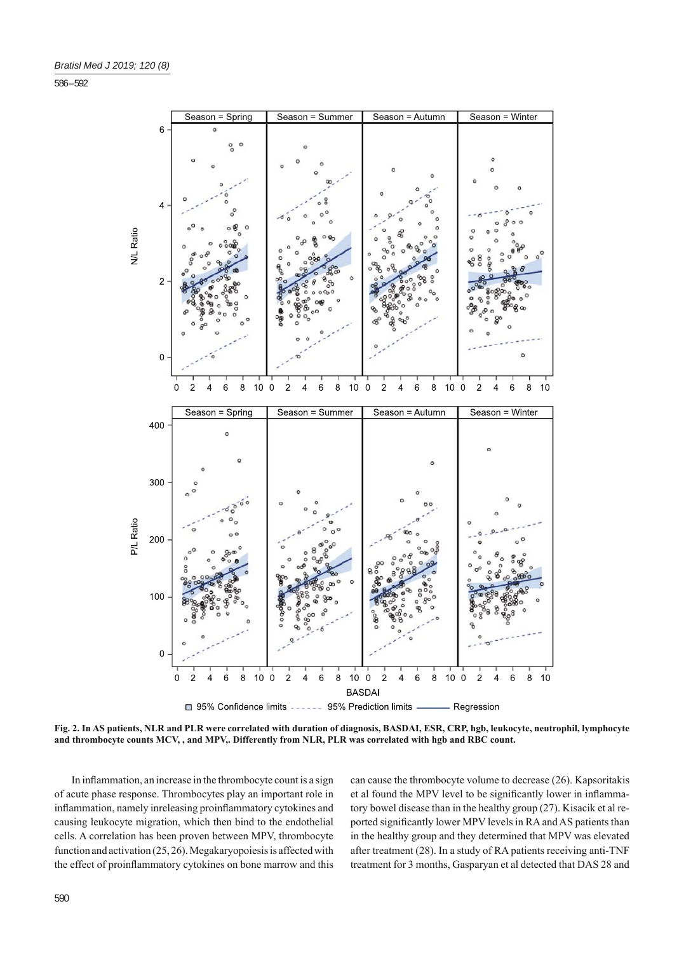586 – 592



**Fig. 2. In AS patients, NLR and PLR were correlated with duration of diagnosis, BASDAI, ESR, CRP, hgb, leukocyte, neutrophil, lymphocyte and thrombocyte counts MCV, , and MPV,. Differently from NLR, PLR was correlated with hgb and RBC count.**

In inflammation, an increase in the thrombocyte count is a sign of acute phase response. Thrombocytes play an important role in inflammation, namely inreleasing proinflammatory cytokines and causing leukocyte migration, which then bind to the endothelial cells. A correlation has been proven between MPV, thrombocyte function and activation (25, 26). Megakaryopoiesis is affected with the effect of proinflammatory cytokines on bone marrow and this can cause the thrombocyte volume to decrease (26). Kapsoritakis et al found the MPV level to be significantly lower in inflammatory bowel disease than in the healthy group (27). Kisacik et al reported significantly lower MPV levels in RA and AS patients than in the healthy group and they determined that MPV was elevated after treatment (28). In a study of RA patients receiving anti-TNF treatment for 3 months, Gasparyan et al detected that DAS 28 and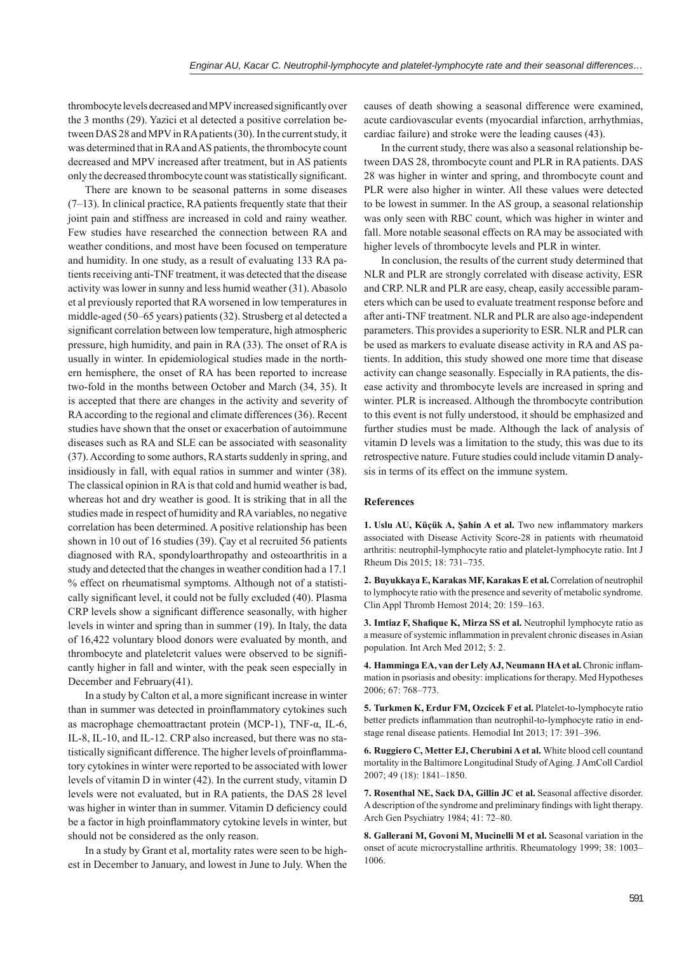thrombocyte levels decreased and MPV increased significantly over the 3 months (29). Yazici et al detected a positive correlation between DAS 28 and MPV in RA patients (30). In the current study, it was determined that in RA and AS patients, the thrombocyte count decreased and MPV increased after treatment, but in AS patients only the decreased thrombocyte count was statistically significant.

There are known to be seasonal patterns in some diseases (7–13). In clinical practice, RA patients frequently state that their joint pain and stiffness are increased in cold and rainy weather. Few studies have researched the connection between RA and weather conditions, and most have been focused on temperature and humidity. In one study, as a result of evaluating 133 RA patients receiving anti-TNF treatment, it was detected that the disease activity was lower in sunny and less humid weather (31). Abasolo et al previously reported that RA worsened in low temperatures in middle-aged (50–65 years) patients (32). Strusberg et al detected a significant correlation between low temperature, high atmospheric pressure, high humidity, and pain in RA (33). The onset of RA is usually in winter. In epidemiological studies made in the northern hemisphere, the onset of RA has been reported to increase two-fold in the months between October and March (34, 35). It is accepted that there are changes in the activity and severity of RA according to the regional and climate differences (36). Recent studies have shown that the onset or exacerbation of autoimmune diseases such as RA and SLE can be associated with seasonality (37). According to some authors, RA starts suddenly in spring, and insidiously in fall, with equal ratios in summer and winter (38). The classical opinion in RA is that cold and humid weather is bad, whereas hot and dry weather is good. It is striking that in all the studies made in respect of humidity and RA variables, no negative correlation has been determined. A positive relationship has been shown in 10 out of 16 studies (39). Çay et al recruited 56 patients diagnosed with RA, spondyloarthropathy and osteoarthritis in a study and detected that the changes in weather condition had a 17.1 % effect on rheumatismal symptoms. Although not of a statistically significant level, it could not be fully excluded (40). Plasma CRP levels show a significant difference seasonally, with higher levels in winter and spring than in summer (19). In Italy, the data of 16,422 voluntary blood donors were evaluated by month, and thrombocyte and plateletcrit values were observed to be significantly higher in fall and winter, with the peak seen especially in December and February(41).

In a study by Calton et al, a more significant increase in winter than in summer was detected in proinflammatory cytokines such as macrophage chemoattractant protein (MCP-1), TNF-α, IL-6, IL-8, IL-10, and IL-12. CRP also increased, but there was no statistically significant difference. The higher levels of proinflammatory cytokines in winter were reported to be associated with lower levels of vitamin D in winter (42). In the current study, vitamin D levels were not evaluated, but in RA patients, the DAS 28 level was higher in winter than in summer. Vitamin D deficiency could be a factor in high proinflammatory cytokine levels in winter, but should not be considered as the only reason.

In a study by Grant et al, mortality rates were seen to be highest in December to January, and lowest in June to July. When the

causes of death showing a seasonal difference were examined, acute cardiovascular events (myocardial infarction, arrhythmias, cardiac failure) and stroke were the leading causes (43).

In the current study, there was also a seasonal relationship between DAS 28, thrombocyte count and PLR in RA patients. DAS 28 was higher in winter and spring, and thrombocyte count and PLR were also higher in winter. All these values were detected to be lowest in summer. In the AS group, a seasonal relationship was only seen with RBC count, which was higher in winter and fall. More notable seasonal effects on RA may be associated with higher levels of thrombocyte levels and PLR in winter.

In conclusion, the results of the current study determined that NLR and PLR are strongly correlated with disease activity, ESR and CRP. NLR and PLR are easy, cheap, easily accessible parameters which can be used to evaluate treatment response before and after anti-TNF treatment. NLR and PLR are also age-independent parameters. This provides a superiority to ESR. NLR and PLR can be used as markers to evaluate disease activity in RA and AS patients. In addition, this study showed one more time that disease activity can change seasonally. Especially in RA patients, the disease activity and thrombocyte levels are increased in spring and winter. PLR is increased. Although the thrombocyte contribution to this event is not fully understood, it should be emphasized and further studies must be made. Although the lack of analysis of vitamin D levels was a limitation to the study, this was due to its retrospective nature. Future studies could include vitamin D analysis in terms of its effect on the immune system.

#### **References**

1. Uslu AU, Küçük A, Sahin A et al. Two new inflammatory markers associated with Disease Activity Score-28 in patients with rheumatoid arthritis: neutrophil-lymphocyte ratio and platelet-lymphocyte ratio. Int J Rheum Dis 2015; 18: 731–735.

**2. Buyukkaya E, Karakas MF, Karakas E et al.** Correlation of neutrophil to lymphocyte ratio with the presence and severity of metabolic syndrome. Clin Appl Thromb Hemost 2014; 20: 159–163.

3. Imtiaz F, Shafique K, Mirza SS et al. Neutrophil lymphocyte ratio as a measure of systemic inflammation in prevalent chronic diseases in Asian population. Int Arch Med 2012; 5: 2.

4. Hamminga EA, van der Lely AJ, Neumann HA et al. Chronic inflammation in psoriasis and obesity: implications for therapy. Med Hypotheses 2006; 67: 768–773.

**5. Turkmen K, Erdur FM, Ozcicek F et al.** Platelet-to-lymphocyte ratio better predicts inflammation than neutrophil-to-lymphocyte ratio in endstage renal disease patients. Hemodial Int 2013; 17: 391–396.

**6. Ruggiero C, Metter EJ, Cherubini A et al.** White blood cell countand mortality in the Baltimore Longitudinal Study of Aging. J AmColl Cardiol 2007; 49 (18): 1841–1850.

**7. Rosenthal NE, Sack DA, Gillin JC et al.** Seasonal affective disorder. A description of the syndrome and preliminary findings with light therapy. Arch Gen Psychiatry 1984; 41: 72–80.

**8. Gallerani M, Govoni M, Mucinelli M et al.** Seasonal variation in the onset of acute microcrystalline arthritis. Rheumatology 1999; 38: 1003– 1006.